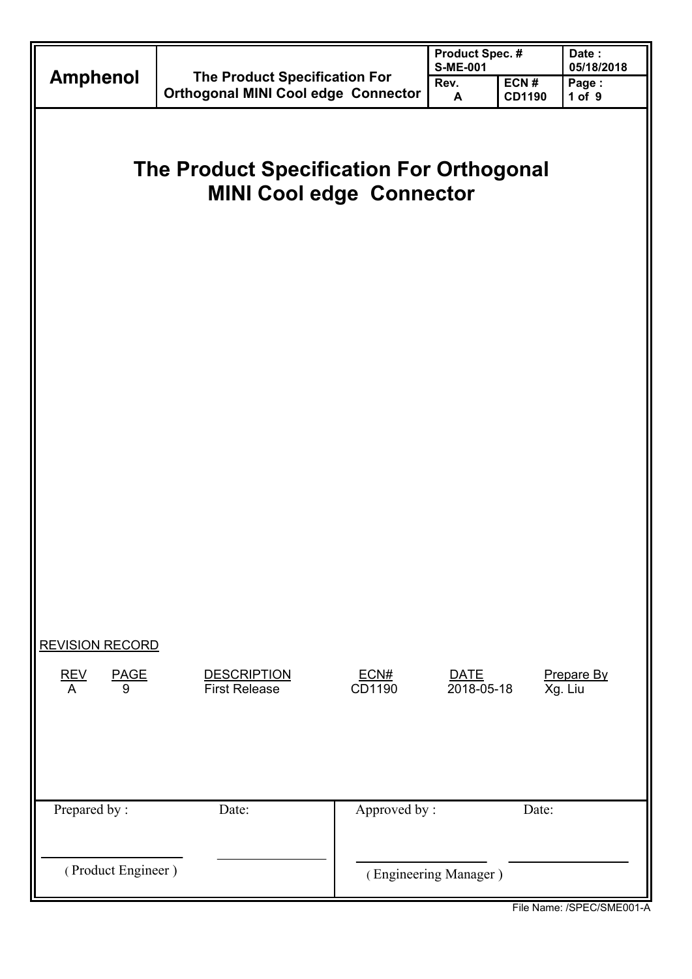|                                                                             |                                                                                    |                | <b>Product Spec. #</b><br><b>S-ME-001</b> | Date:<br>05/18/2018   |                       |  |
|-----------------------------------------------------------------------------|------------------------------------------------------------------------------------|----------------|-------------------------------------------|-----------------------|-----------------------|--|
| <b>Amphenol</b>                                                             | The Product Specification For<br><b>Orthogonal MINI Cool edge Connector</b>        |                | Rev.<br>A                                 | ECN#<br><b>CD1190</b> | Page:<br>1 of 9       |  |
|                                                                             | <b>The Product Specification For Orthogonal</b><br><b>MINI Cool edge Connector</b> |                |                                           |                       |                       |  |
| <b>REVISION RECORD</b><br>$\frac{\text{REV}}{\text{A}}$<br><b>PAGE</b><br>9 | <b>DESCRIPTION</b><br><b>First Release</b>                                         | ECN#<br>CD1190 | <b>DATE</b><br>2018-05-18                 |                       | Prepare By<br>Xg. Liu |  |
| Prepared by:                                                                | Date:                                                                              | Approved by:   |                                           | Date:                 |                       |  |
| (Product Engineer)                                                          | (Engineering Manager)                                                              |                |                                           |                       |                       |  |

File Name: /SPEC/SME001-A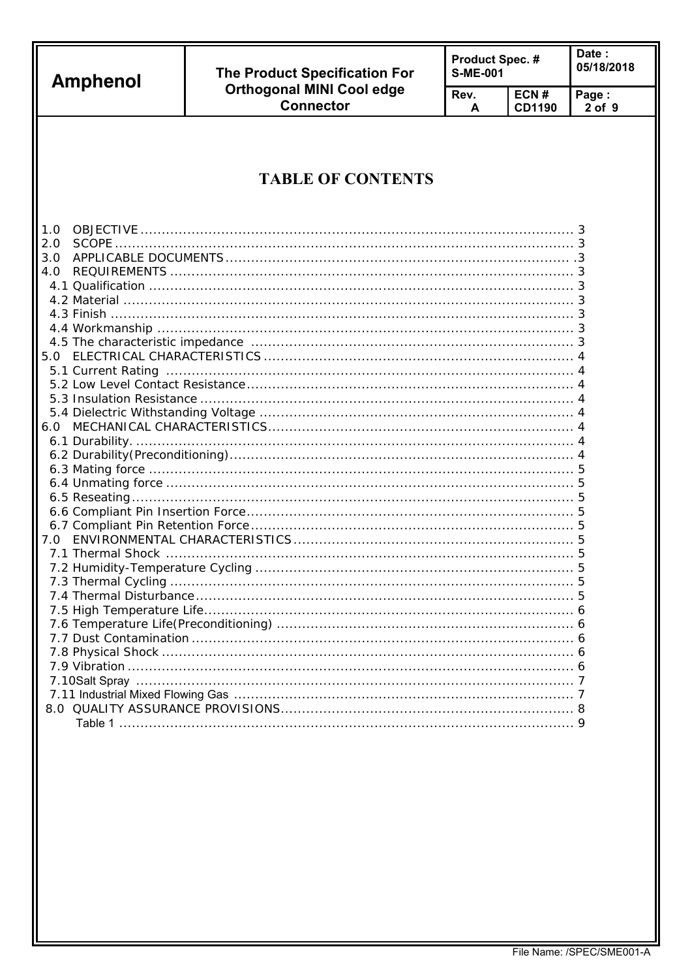| <b>Amphenol</b> | <b>The Product Specification For</b>                 | Product Spec. #<br><b>S-ME-001</b> |                       | Date:<br>05/18/2018 |  |
|-----------------|------------------------------------------------------|------------------------------------|-----------------------|---------------------|--|
|                 | <b>Orthogonal MINI Cool edge</b><br><b>Connector</b> | Rev.<br>A                          | ECN#<br><b>CD1190</b> | Page:<br>$2$ of $9$ |  |
| 1.0<br>2.0      | <b>TABLE OF CONTENTS</b>                             |                                    |                       |                     |  |
| 3.0<br>4.0      |                                                      |                                    |                       |                     |  |
|                 |                                                      |                                    |                       |                     |  |
|                 |                                                      |                                    |                       |                     |  |
| 6.0             |                                                      |                                    |                       |                     |  |
|                 |                                                      |                                    |                       |                     |  |
|                 |                                                      |                                    |                       |                     |  |
| 7.0             |                                                      |                                    |                       |                     |  |
|                 |                                                      |                                    |                       |                     |  |
|                 |                                                      |                                    |                       |                     |  |
|                 |                                                      |                                    |                       |                     |  |
|                 |                                                      |                                    |                       |                     |  |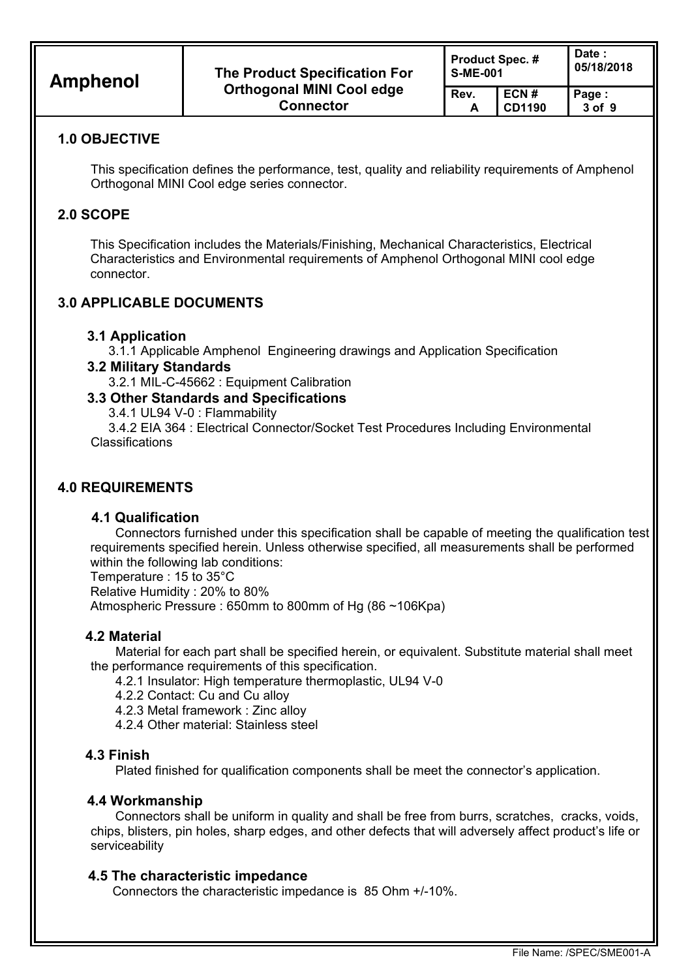| <b>Amphenol</b> | The Product Specification For                        | <b>Product Spec.#</b><br><b>S-ME-001</b> |                | Date :<br>05/18/2018 |  |  |
|-----------------|------------------------------------------------------|------------------------------------------|----------------|----------------------|--|--|
|                 | <b>Orthogonal MINI Cool edge</b><br><b>Connector</b> | Rev.                                     | ECN#<br>CD1190 | Page:<br>$3$ of $9$  |  |  |

#### **1.0 OBJECTIVE**

This specification defines the performance, test, quality and reliability requirements of Amphenol Orthogonal MINI Cool edge series connector.

#### **2.0 SCOPE**

This Specification includes the Materials/Finishing, Mechanical Characteristics, Electrical Characteristics and Environmental requirements of Amphenol Orthogonal MINI cool edge connector.

## **3.0 APPLICABLE DOCUMENTS**

#### **3.1 Application**

3.1.1 Applicable Amphenol Engineering drawings and Application Specification

**3.2 Military Standards** 

3.2.1 MIL-C-45662 : Equipment Calibration

## **3.3 Other Standards and Specifications**

3.4.1 UL94 V-0 : Flammability

 3.4.2 EIA 364 : Electrical Connector/Socket Test Procedures Including Environmental Classifications

#### **4.0 REQUIREMENTS**

#### **4.1 Qualification**

Connectors furnished under this specification shall be capable of meeting the qualification test requirements specified herein. Unless otherwise specified, all measurements shall be performed within the following lab conditions:

Temperature : 15 to 35°C Relative Humidity : 20% to 80% Atmospheric Pressure : 650mm to 800mm of Hg (86 ~106Kpa)

#### **4.2 Material**

Material for each part shall be specified herein, or equivalent. Substitute material shall meet the performance requirements of this specification.

4.2.1 Insulator: High temperature thermoplastic, UL94 V-0

4.2.2 Contact: Cu and Cu alloy

4.2.3 Metal framework : Zinc alloy

4.2.4 Other material: Stainless steel

#### **4.3 Finish**

Plated finished for qualification components shall be meet the connector's application.

#### **4.4 Workmanship**

Connectors shall be uniform in quality and shall be free from burrs, scratches, cracks, voids, chips, blisters, pin holes, sharp edges, and other defects that will adversely affect product's life or serviceability

#### **4.5 The characteristic impedance**

Connectors the characteristic impedance is 85 Ohm +/-10%.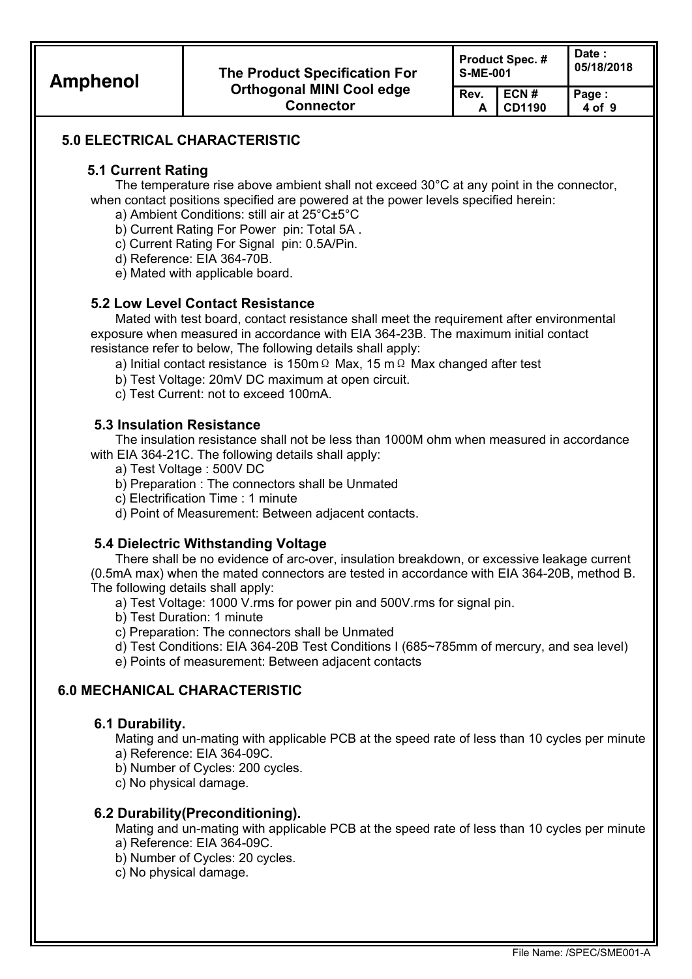**CD1190** 

**Rev. A**  **Page : 4 of 9** 

# **5.0 ELECTRICAL CHARACTERISTIC**

## **5.1 Current Rating**

The temperature rise above ambient shall not exceed 30°C at any point in the connector, when contact positions specified are powered at the power levels specified herein:

- a) Ambient Conditions: still air at 25°C±5°C
- b) Current Rating For Power pin: Total 5A .
- c) Current Rating For Signal pin: 0.5A/Pin.

d) Reference: EIA 364-70B.

e) Mated with applicable board.

#### **5.2 Low Level Contact Resistance**

Mated with test board, contact resistance shall meet the requirement after environmental exposure when measured in accordance with EIA 364-23B. The maximum initial contact resistance refer to below, The following details shall apply:

- a) Initial contact resistance is 150mΩ Max, 15 mΩ Max changed after test
- b) Test Voltage: 20mV DC maximum at open circuit.
- c) Test Current: not to exceed 100mA.

#### **5.3 Insulation Resistance**

The insulation resistance shall not be less than 1000M ohm when measured in accordance with EIA 364-21C. The following details shall apply:

- a) Test Voltage : 500V DC
- b) Preparation : The connectors shall be Unmated
- c) Electrification Time : 1 minute
- d) Point of Measurement: Between adjacent contacts.

#### **5.4 Dielectric Withstanding Voltage**

There shall be no evidence of arc-over, insulation breakdown, or excessive leakage current (0.5mA max) when the mated connectors are tested in accordance with EIA 364-20B, method B. The following details shall apply:

- a) Test Voltage: 1000 V.rms for power pin and 500V.rms for signal pin.
- b) Test Duration: 1 minute
- c) Preparation: The connectors shall be Unmated
- d) Test Conditions: EIA 364-20B Test Conditions I (685~785mm of mercury, and sea level)
- e) Points of measurement: Between adjacent contacts

## **6.0 MECHANICAL CHARACTERISTIC**

#### **6.1 Durability.**

Mating and un-mating with applicable PCB at the speed rate of less than 10 cycles per minute a) Reference: EIA 364-09C.

- b) Number of Cycles: 200 cycles.
- c) No physical damage.

## **6.2 Durability(Preconditioning).**

Mating and un-mating with applicable PCB at the speed rate of less than 10 cycles per minute a) Reference: EIA 364-09C.

- b) Number of Cycles: 20 cycles.
- c) No physical damage.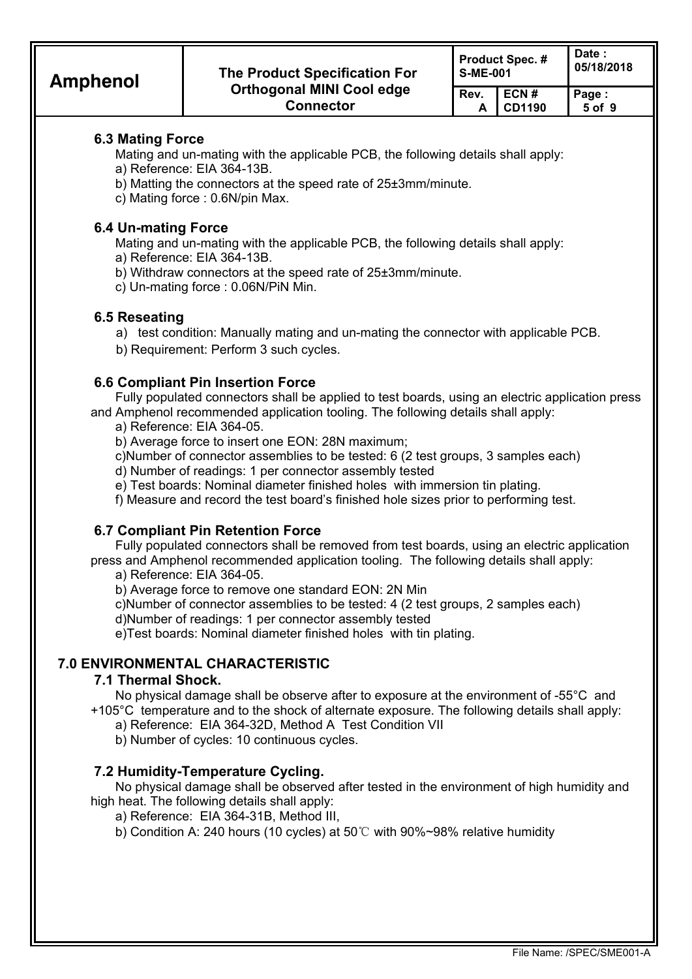**CD1190** 

 **A** 

 **5 of 9** 

# **6.3 Mating Force**

Mating and un-mating with the applicable PCB, the following details shall apply:

- a) Reference: EIA 364-13B.
- b) Matting the connectors at the speed rate of 25±3mm/minute.
- c) Mating force : 0.6N/pin Max.

# **6.4 Un-mating Force**

Mating and un-mating with the applicable PCB, the following details shall apply: a) Reference: EIA 364-13B.

- b) Withdraw connectors at the speed rate of 25±3mm/minute.
- c) Un-mating force : 0.06N/PiN Min.

# **6.5 Reseating**

a) test condition: Manually mating and un-mating the connector with applicable PCB.

b) Requirement: Perform 3 such cycles.

# **6.6 Compliant Pin Insertion Force**

Fully populated connectors shall be applied to test boards, using an electric application press and Amphenol recommended application tooling. The following details shall apply:

a) Reference: EIA 364-05.

b) Average force to insert one EON: 28N maximum;

c)Number of connector assemblies to be tested: 6 (2 test groups, 3 samples each)

d) Number of readings: 1 per connector assembly tested

e) Test boards: Nominal diameter finished holes with immersion tin plating.

f) Measure and record the test board's finished hole sizes prior to performing test.

## **6.7 Compliant Pin Retention Force**

Fully populated connectors shall be removed from test boards, using an electric application press and Amphenol recommended application tooling. The following details shall apply:

a) Reference: EIA 364-05.

b) Average force to remove one standard EON: 2N Min

c)Number of connector assemblies to be tested: 4 (2 test groups, 2 samples each)

d)Number of readings: 1 per connector assembly tested

e)Test boards: Nominal diameter finished holes with tin plating.

# **7.0 ENVIRONMENTAL CHARACTERISTIC**

## **7.1 Thermal Shock.**

No physical damage shall be observe after to exposure at the environment of -55°C and +105°C temperature and to the shock of alternate exposure. The following details shall apply:

a) Reference: EIA 364-32D, Method A Test Condition VII

b) Number of cycles: 10 continuous cycles.

## **7.2 Humidity-Temperature Cycling.**

No physical damage shall be observed after tested in the environment of high humidity and high heat. The following details shall apply:

- a) Reference: EIA 364-31B, Method III,
- b) Condition A: 240 hours (10 cycles) at 50℃ with 90%~98% relative humidity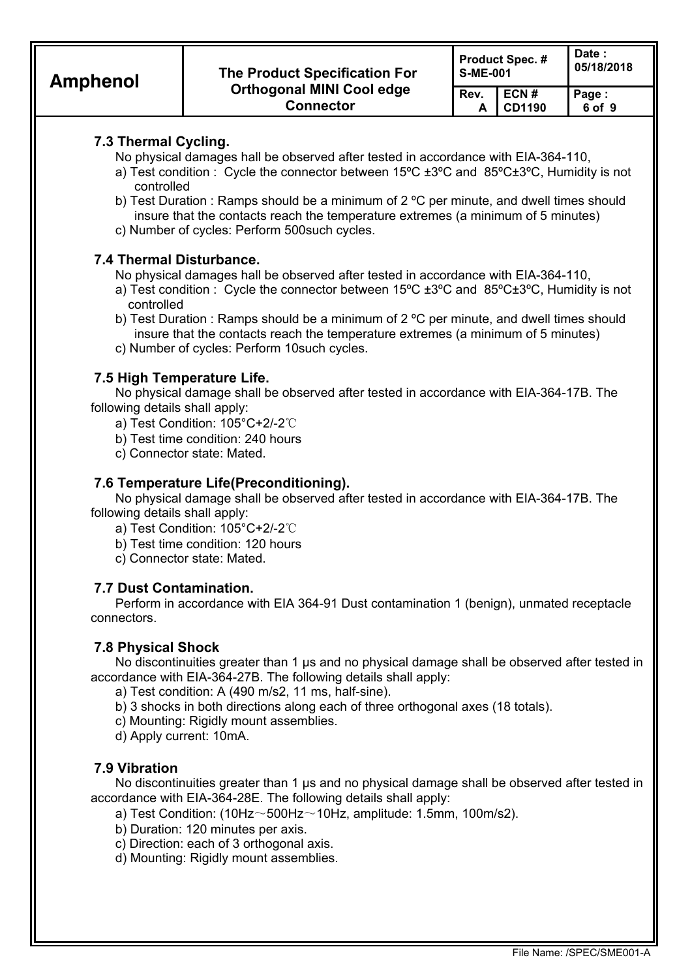**ECN # CD1190** 

**Rev. A** 

# **7.3 Thermal Cycling.**

No physical damages hall be observed after tested in accordance with EIA-364-110,

- a) Test condition : Cycle the connector between 15ºC ±3ºC and 85ºC±3ºC, Humidity is not controlled
- b) Test Duration : Ramps should be a minimum of 2 °C per minute, and dwell times should insure that the contacts reach the temperature extremes (a minimum of 5 minutes)
- c) Number of cycles: Perform 500such cycles.

# **7.4 Thermal Disturbance.**

No physical damages hall be observed after tested in accordance with EIA-364-110,

- a) Test condition : Cycle the connector between 15ºC ±3ºC and 85ºC±3ºC, Humidity is not controlled
- b) Test Duration : Ramps should be a minimum of 2 ºC per minute, and dwell times should insure that the contacts reach the temperature extremes (a minimum of 5 minutes)
- c) Number of cycles: Perform 10such cycles.

# **7.5 High Temperature Life.**

No physical damage shall be observed after tested in accordance with EIA-364-17B. The following details shall apply:

- a) Test Condition: 105°C+2/-2℃
- b) Test time condition: 240 hours
- c) Connector state: Mated.

# **7.6 Temperature Life(Preconditioning).**

No physical damage shall be observed after tested in accordance with EIA-364-17B. The following details shall apply:

- a) Test Condition: 105°C+2/-2℃
- b) Test time condition: 120 hours
- c) Connector state: Mated.

# **7.7 Dust Contamination.**

Perform in accordance with EIA 364-91 Dust contamination 1 (benign), unmated receptacle connectors.

# **7.8 Physical Shock**

No discontinuities greater than 1 µs and no physical damage shall be observed after tested in accordance with EIA-364-27B. The following details shall apply:

a) Test condition: A (490 m/s2, 11 ms, half-sine).

- b) 3 shocks in both directions along each of three orthogonal axes (18 totals).
- c) Mounting: Rigidly mount assemblies.
- d) Apply current: 10mA.

# **7.9 Vibration**

No discontinuities greater than 1 µs and no physical damage shall be observed after tested in accordance with EIA-364-28E. The following details shall apply:

a) Test Condition: (10Hz $\sim$ 500Hz $\sim$ 10Hz, amplitude: 1.5mm, 100m/s2).

- b) Duration: 120 minutes per axis.
- c) Direction: each of 3 orthogonal axis.
- d) Mounting: Rigidly mount assemblies.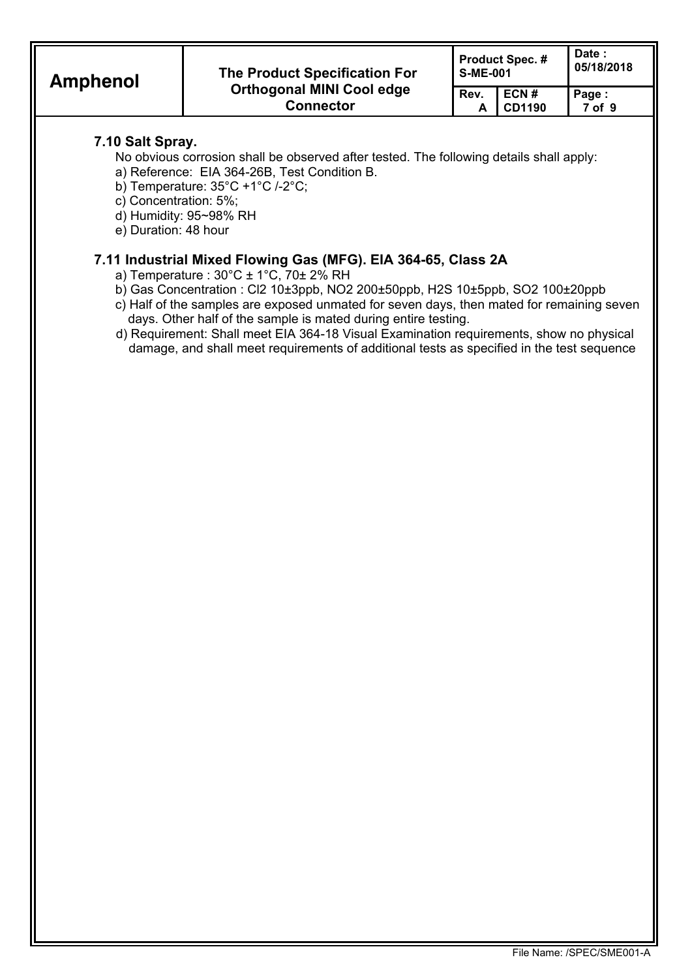**ECN # CD1190** 

**Rev. A**  **Page : 7 of 9** 

# **7.10 Salt Spray.**

No obvious corrosion shall be observed after tested. The following details shall apply:

- a) Reference: EIA 364-26B, Test Condition B.
- b) Temperature: 35°C +1°C /-2°C;
- c) Concentration: 5%;
- d) Humidity: 95~98% RH
- e) Duration: 48 hour

# **7.11 Industrial Mixed Flowing Gas (MFG). EIA 364-65, Class 2A**

- a) Temperature : 30°C ± 1°C, 70± 2% RH
- b) Gas Concentration : Cl2 10±3ppb, NO2 200±50ppb, H2S 10±5ppb, SO2 100±20ppb
- c) Half of the samples are exposed unmated for seven days, then mated for remaining seven days. Other half of the sample is mated during entire testing.
- d) Requirement: Shall meet EIA 364-18 Visual Examination requirements, show no physical damage, and shall meet requirements of additional tests as specified in the test sequence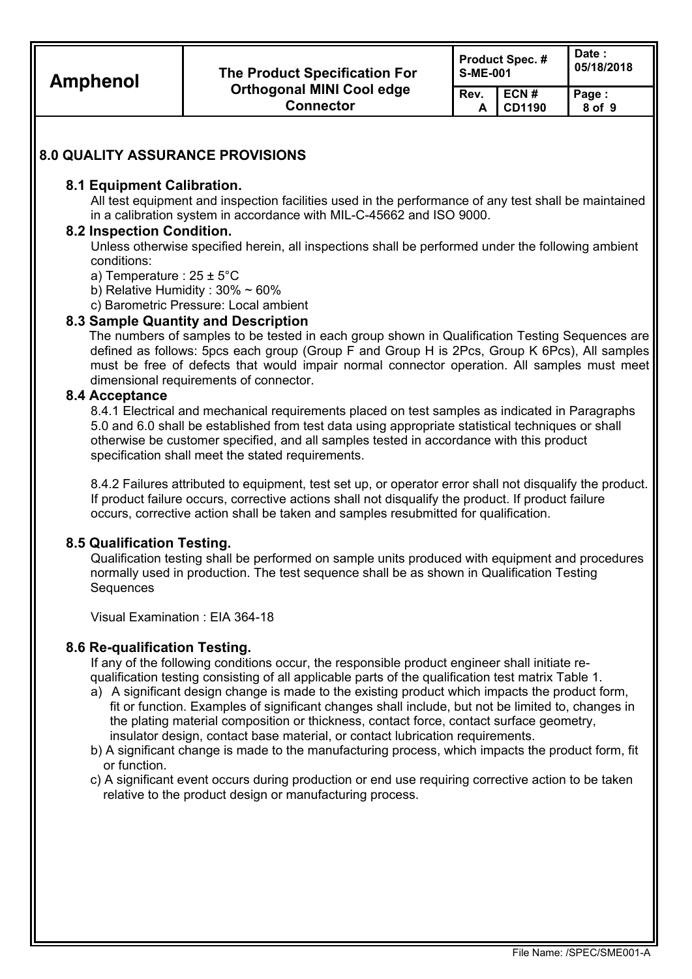| <b>Amphenol</b> | <b>The Product Specification For</b>                         | <b>S-ME-001</b> | <b>Product Spec. #</b> | Date:<br>05/18/2018 |  |
|-----------------|--------------------------------------------------------------|-----------------|------------------------|---------------------|--|
|                 | <b>Orthogonal MINI Cool edge</b><br>Rev.<br><b>Connector</b> |                 | ECN#<br>CD1190         | Page:<br>8 of 9     |  |
|                 |                                                              |                 |                        |                     |  |

## **8.0 QUALITY ASSURANCE PROVISIONS**

#### **8.1 Equipment Calibration.**

All test equipment and inspection facilities used in the performance of any test shall be maintained in a calibration system in accordance with MIL-C-45662 and ISO 9000.

#### **8.2 Inspection Condition.**

Unless otherwise specified herein, all inspections shall be performed under the following ambient conditions:

- a) Temperature : 25 ± 5°C
- b) Relative Humidity : 30% ~ 60%
- c) Barometric Pressure: Local ambient

#### **8.3 Sample Quantity and Description**

 The numbers of samples to be tested in each group shown in Qualification Testing Sequences are defined as follows: 5pcs each group (Group F and Group H is 2Pcs, Group K 6Pcs), All samples must be free of defects that would impair normal connector operation. All samples must meet dimensional requirements of connector.

#### **8.4 Acceptance**

8.4.1 Electrical and mechanical requirements placed on test samples as indicated in Paragraphs 5.0 and 6.0 shall be established from test data using appropriate statistical techniques or shall otherwise be customer specified, and all samples tested in accordance with this product specification shall meet the stated requirements.

8.4.2 Failures attributed to equipment, test set up, or operator error shall not disqualify the product. If product failure occurs, corrective actions shall not disqualify the product. If product failure occurs, corrective action shall be taken and samples resubmitted for qualification.

#### **8.5 Qualification Testing.**

Qualification testing shall be performed on sample units produced with equipment and procedures normally used in production. The test sequence shall be as shown in Qualification Testing **Sequences** 

Visual Examination : EIA 364-18

#### **8.6 Re-qualification Testing.**

If any of the following conditions occur, the responsible product engineer shall initiate requalification testing consisting of all applicable parts of the qualification test matrix Table 1.

- a) A significant design change is made to the existing product which impacts the product form, fit or function. Examples of significant changes shall include, but not be limited to, changes in the plating material composition or thickness, contact force, contact surface geometry, insulator design, contact base material, or contact lubrication requirements.
- b) A significant change is made to the manufacturing process, which impacts the product form, fit or function.
- c) A significant event occurs during production or end use requiring corrective action to be taken relative to the product design or manufacturing process.